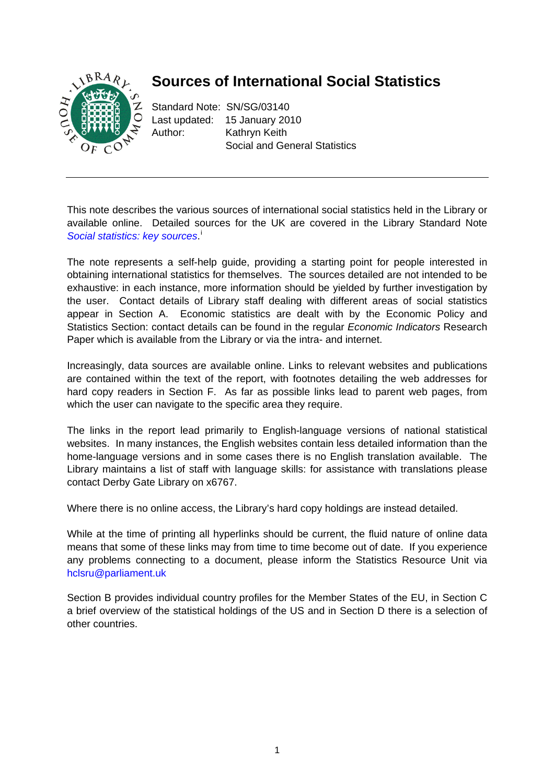

# **Sources of International Social Statistics**

Standard Note: SN/SG/03140 Last updated: 15 January 2010 Author: Kathryn Keith Social and General Statistics

This note describes the various sources of international social statistics held in the Library or available online. Detailed sources for the UK are covered in the Library Standard Note [Social statistics: key sources](http://hcl1.hclibrary.parliament.uk/notes/sgss/snsg-02206.pdf).<sup>1</sup>

The note represents a self-help guide, providing a starting point for people interested in obtaining international statistics for themselves. The sources detailed are not intended to be exhaustive: in each instance, more information should be yielded by further investigation by the user. Contact details of Library staff dealing with different areas of social statistics appear in Section A. Economic statistics are dealt with by the Economic Policy and Statistics Section: contact details can be found in the regular *Economic Indicators* Research Paper which is available from the Library or via the intra- and internet.

Increasingly, data sources are available online. Links to relevant websites and publications are contained within the text of the report, with footnotes detailing the web addresses for hard copy readers in Section F. As far as possible links lead to parent web pages, from which the user can navigate to the specific area they require.

The links in the report lead primarily to English-language versions of national statistical websites. In many instances, the English websites contain less detailed information than the home-language versions and in some cases there is no English translation available. The Library maintains a list of staff with language skills: for assistance with translations please contact Derby Gate Library on x6767.

Where there is no online access, the Library's hard copy holdings are instead detailed.

While at the time of printing all hyperlinks should be current, the fluid nature of online data means that some of these links may from time to time become out of date. If you experience any problems connecting to a document, please inform the Statistics Resource Unit via hclsru@parliament.uk

Section B provides individual country profiles for the Member States of the EU, in Section C a brief overview of the statistical holdings of the US and in Section D there is a selection of other countries.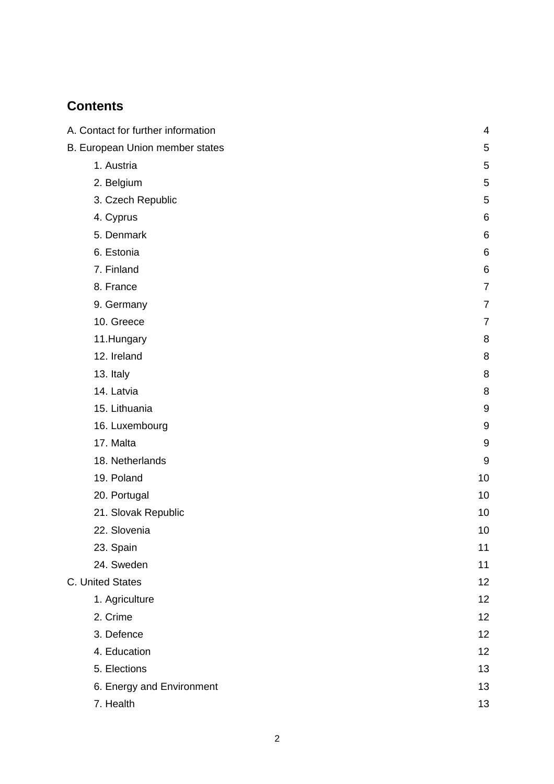# **Contents**

| A. Contact for further information | 4              |
|------------------------------------|----------------|
|                                    |                |
| B. European Union member states    | 5              |
| 1. Austria                         | 5              |
| 2. Belgium                         | 5              |
| 3. Czech Republic                  | 5              |
| 4. Cyprus                          | 6              |
| 5. Denmark                         | 6              |
| 6. Estonia                         | 6              |
| 7. Finland                         | 6              |
| 8. France                          | $\overline{7}$ |
| 9. Germany                         | 7              |
| 10. Greece                         | $\overline{7}$ |
| 11.Hungary                         | 8              |
| 12. Ireland                        | 8              |
| 13. Italy                          | 8              |
| 14. Latvia                         | 8              |
| 15. Lithuania                      | 9              |
| 16. Luxembourg                     | 9              |
| 17. Malta                          | 9              |
| 18. Netherlands                    | 9              |
| 19. Poland                         | 10             |
| 20. Portugal                       | 10             |
| 21. Slovak Republic                | 10             |
| 22. Slovenia                       | 10             |
| 23. Spain                          | 11             |
| 24. Sweden                         | 11             |
| C. United States                   | 12             |
| 1. Agriculture                     | 12             |
| 2. Crime                           | 12             |
| 3. Defence                         | 12             |
| 4. Education                       | 12             |
| 5. Elections                       | 13             |
| 6. Energy and Environment          | 13             |
| 7. Health                          | 13             |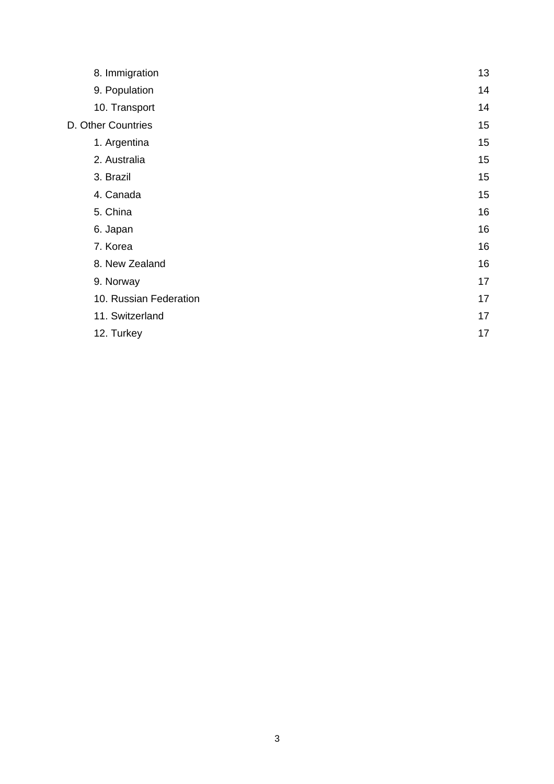| 8. Immigration         | 13 |
|------------------------|----|
| 9. Population          | 14 |
| 10. Transport          | 14 |
| D. Other Countries     | 15 |
| 1. Argentina           | 15 |
| 2. Australia           | 15 |
| 3. Brazil              | 15 |
| 4. Canada              | 15 |
| 5. China               | 16 |
| 6. Japan               | 16 |
| 7. Korea               | 16 |
| 8. New Zealand         | 16 |
| 9. Norway              | 17 |
| 10. Russian Federation | 17 |
| 11. Switzerland        | 17 |
| 12. Turkey             | 17 |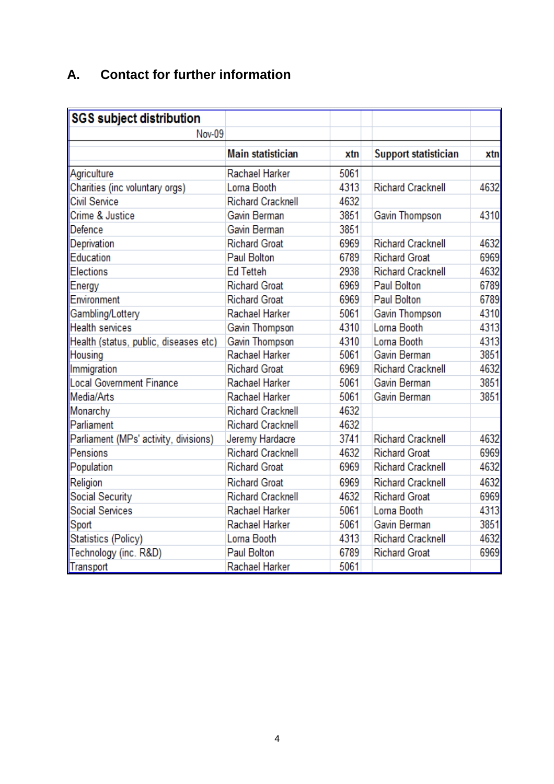# **A. Contact for further information**

| <b>SGS</b> subject distribution       |                          |      |                             |      |
|---------------------------------------|--------------------------|------|-----------------------------|------|
| Nov-09                                |                          |      |                             |      |
|                                       | <b>Main statistician</b> | xtn  | <b>Support statistician</b> | xtn  |
| Agriculture                           | Rachael Harker           | 5061 |                             |      |
| Charities (inc voluntary orgs)        | Lorna Booth              | 4313 | <b>Richard Cracknell</b>    | 4632 |
| <b>Civil Service</b>                  | <b>Richard Cracknell</b> | 4632 |                             |      |
| Crime & Justice                       | Gavin Berman             | 3851 | Gavin Thompson              | 4310 |
| Defence                               | Gavin Berman             | 3851 |                             |      |
| Deprivation                           | <b>Richard Groat</b>     | 6969 | <b>Richard Cracknell</b>    | 4632 |
| Education                             | Paul Bolton              | 6789 | <b>Richard Groat</b>        | 6969 |
| Elections                             | <b>Ed Tetteh</b>         | 2938 | <b>Richard Cracknell</b>    | 4632 |
| Energy                                | <b>Richard Groat</b>     | 6969 | <b>Paul Bolton</b>          | 6789 |
| Environment                           | <b>Richard Groat</b>     | 6969 | <b>Paul Bolton</b>          | 6789 |
| Gambling/Lottery                      | Rachael Harker           | 5061 | Gavin Thompson              | 4310 |
| <b>Health services</b>                | Gavin Thompson           | 4310 | Lorna Booth                 | 4313 |
| Health (status, public, diseases etc) | Gavin Thompson           | 4310 | Lorna Booth                 | 4313 |
| Housing                               | Rachael Harker           | 5061 | Gavin Berman                | 3851 |
| Immigration                           | <b>Richard Groat</b>     | 6969 | <b>Richard Cracknell</b>    | 4632 |
| Local Government Finance              | Rachael Harker           | 5061 | Gavin Berman                | 3851 |
| Media/Arts                            | Rachael Harker           | 5061 | Gavin Berman                | 3851 |
| Monarchy                              | <b>Richard Cracknell</b> | 4632 |                             |      |
| Parliament                            | <b>Richard Cracknell</b> | 4632 |                             |      |
| Parliament (MPs' activity, divisions) | Jeremy Hardacre          | 3741 | <b>Richard Cracknell</b>    | 4632 |
| Pensions                              | <b>Richard Cracknell</b> | 4632 | <b>Richard Groat</b>        | 6969 |
| Population                            | <b>Richard Groat</b>     | 6969 | <b>Richard Cracknell</b>    | 4632 |
| Religion                              | <b>Richard Groat</b>     | 6969 | <b>Richard Cracknell</b>    | 4632 |
| <b>Social Security</b>                | <b>Richard Cracknell</b> | 4632 | <b>Richard Groat</b>        | 6969 |
| <b>Social Services</b>                | Rachael Harker           | 5061 | Lorna Booth                 | 4313 |
| Sport                                 | Rachael Harker           | 5061 | Gavin Berman                | 3851 |
| Statistics (Policy)                   | Lorna Booth              | 4313 | <b>Richard Cracknell</b>    | 4632 |
| Technology (inc. R&D)                 | <b>Paul Bolton</b>       | 6789 | <b>Richard Groat</b>        | 6969 |
| Transport                             | Rachael Harker           | 5061 |                             |      |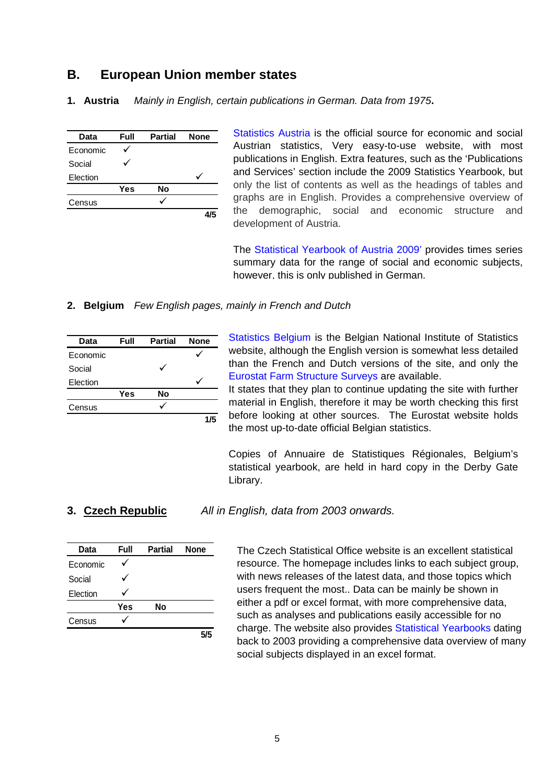# **B. European Union member states**

**1. Austria** *Mainly in English, certain publications in German. Data from 1975***.** 

| Data     | Full | <b>Partial</b> | <b>None</b> |
|----------|------|----------------|-------------|
| Economic |      |                |             |
| Social   |      |                |             |
| Election |      |                |             |
|          | Yes  | No             |             |
| Census   |      |                |             |
|          |      |                |             |

[Statistics Austria](http://www.statistik.at/web_de/english/index.html) is the official source for economic and social Austrian statistics, Very easy-to-use website, with most publications in English. Extra features, such as the 'Publications and Services' section include the 2009 Statistics Yearbook, but only the list of contents as well as the headings of tables and graphs are in English. Provides a comprehensive overview of the demographic, social and economic structure and development of Austria.

The [Statistical Yearbook of Austria 2009'](http://www.statistik.at/web_en/static/population_stat._yearbook_034599.pdf) provides times series summary data for the range of social and economic subjects, however, this is only published in German.

# **2. Belgium** *Few English pages, mainly in French and Dutch*

| Data     | Full | <b>Partial</b> | <b>None</b> |
|----------|------|----------------|-------------|
| Economic |      |                |             |
| Social   |      |                |             |
| Election |      |                |             |
|          | Yes  | No             |             |
| Census   |      |                |             |
|          |      |                | 1/5         |

[Statistics Belgium](http://statbel.fgov.be/en/statistiques/chiffres/index.jsp) is the Belgian National Institute of Statistics website, although the English version is somewhat less detailed than the French and Dutch versions of the site, and only the [Eurostat Farm Structure Surveys](http://epp.eurostat.ec.europa.eu/portal/page/portal/product_details/publication?p_product_code=KS-SF-09-090) are available.

It states that they plan to continue updating the site with further material in English, therefore it may be worth checking this first before looking at other sources. The Eurostat website holds the most up-to-date official Belgian statistics.

Copies of Annuaire de Statistiques Régionales, Belgium's statistical yearbook, are held in hard copy in the Derby Gate Library.

**3. Czech Republic** *All in English, data from 2003 onwards.* 

| Data     | Full | <b>Partial</b> | <b>None</b> |
|----------|------|----------------|-------------|
| Economic |      |                |             |
| Social   |      |                |             |
| Election |      |                |             |
|          | Yes  | Nο             |             |
| Census   |      |                |             |
|          |      |                | 5/5         |

The Czech Statistical Office website is an excellent statistical resource. The homepage includes links to each subject group, with news releases of the latest data, and those topics which users frequent the most.. Data can be mainly be shown in either a pdf or excel format, with more comprehensive data, such as analyses and publications easily accessible for no charge. The website also provides [Statistical Yearbooks](http://www.czso.cz/eng/redakce.nsf/i/statistical_yearbooks_of_the_czech_republic) dating back to 2003 providing a comprehensive data overview of many social subjects displayed in an excel format.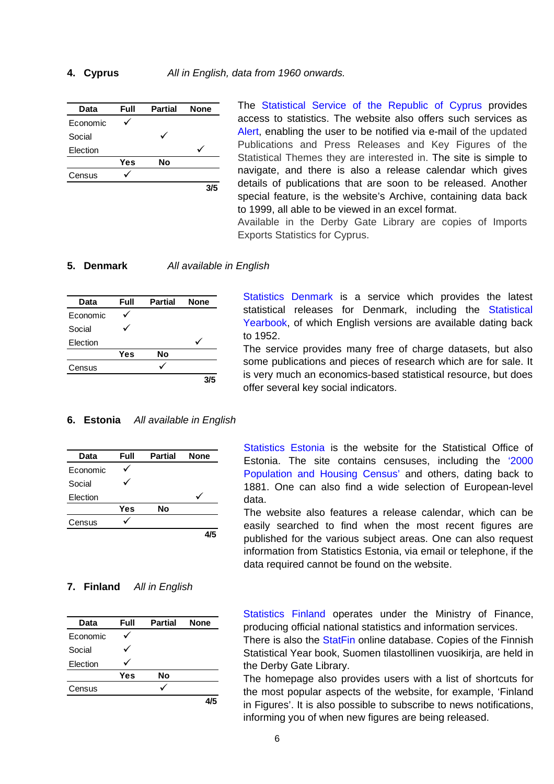### **4. Cyprus** *All in English, data from 1960 onwards.*

| Data     | Full | <b>Partial</b> | <b>None</b> |
|----------|------|----------------|-------------|
| Economic |      |                |             |
| Social   |      |                |             |
| Election |      |                |             |
|          | Yes  | No             |             |
| Census   |      |                |             |
|          |      |                | 3/5         |

The [Statistical Service of the Republic of Cyprus](http://www.pio.gov.cy/mof/cystat/statistics.nsf/index_en/index_en?OpenDocument) provides access to statistics. The website also offers such services as [Alert,](http://www.pio.gov.cy/mof/cystat/statistics.nsf/services_en/services_en?OpenDocument) enabling the user to be notified via e-mail of the updated Publications and Press Releases and Key Figures of the Statistical Themes they are interested in. The site is simple to navigate, and there is also a release calendar which gives details of publications that are soon to be released. Another special feature, is the website's Archive, containing data back to 1999, all able to be viewed in an excel format.

Available in the Derby Gate Library are copies of Imports Exports Statistics for Cyprus.

### **5. Denmark** *All available in English*

| Data     | Full | <b>Partial</b> | <b>None</b> |
|----------|------|----------------|-------------|
| Economic |      |                |             |
| Social   |      |                |             |
| Election |      |                |             |
|          | Yes  | No             |             |
| Census   |      |                |             |
|          |      |                | २/५         |

[Statistics Denmark](http://www.dst.dk/HomeUK.aspx) is a service which provides the latest statistical releases for Denmark, including the [Statistical](http://www.dst.dk/HomeUK/Statistics/ofs/Publications/Yearbook.aspx)  [Yearbook](http://www.dst.dk/HomeUK/Statistics/ofs/Publications/Yearbook.aspx), of which English versions are available dating back to 1952.

The service provides many free of charge datasets, but also some publications and pieces of research which are for sale. It is very much an economics-based statistical resource, but does offer several key social indicators.

### **6. Estonia** *All available in English*

| Data     | Full | <b>Partial</b> | <b>None</b> |
|----------|------|----------------|-------------|
| Economic |      |                |             |
| Social   |      |                |             |
| Election |      |                |             |
|          | Yes  | No             |             |
| Census   |      |                |             |
|          |      |                |             |

### **7. Finland** *All in English*

| Data     | Full | <b>Partial</b> | <b>None</b> |
|----------|------|----------------|-------------|
| Economic |      |                |             |
| Social   |      |                |             |
| Election |      |                |             |
|          | Yes  | No             |             |
| Census   |      |                |             |
|          |      |                |             |

[Statistics Estonia](http://www.stat.ee/) is the website for the Statistical Office of Estonia. The site contains censuses, including the ['2000](http://www.stat.ee/population-census-2000)  [Population and Housing Census'](http://www.stat.ee/population-census-2000) and others, dating back to 1881. One can also find a wide selection of European-level data.

The website also features a release calendar, which can be easily searched to find when the most recent figures are published for the various subject areas. One can also request information from Statistics Estonia, via email or telephone, if the data required cannot be found on the website.

[Statistics Finland](http://www.stat.fi/index_en.html) operates under the Ministry of Finance, producing official national statistics and information services.

There is also the **StatFin** online database. Copies of the Finnish Statistical Year book, Suomen tilastollinen vuosikiria, are held in the Derby Gate Library.

The homepage also provides users with a list of shortcuts for the most popular aspects of the website, for example, 'Finland in Figures'. It is also possible to subscribe to news notifications, informing you of when new figures are being released.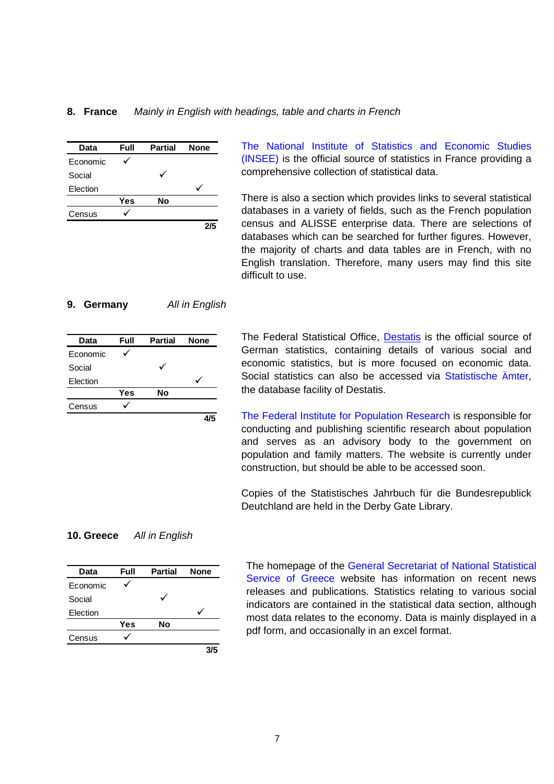### **8. France** *Mainly in English with headings, table and charts in French*

| Data     | Full | <b>Partial</b> | <b>None</b> |
|----------|------|----------------|-------------|
| Economic |      |                |             |
| Social   |      |                |             |
| Election |      |                |             |
|          | Yes  | No             |             |
| Census   |      |                |             |
|          |      |                |             |

[The National Institute of Statistics and Economic Studies](http://www.insee.fr/en/default.asp)  [\(INSEE\)](http://www.insee.fr/en/default.asp) is the official source of statistics in France providing a comprehensive collection of statistical data.

There is also a section which provides links to several statistical databases in a variety of fields, such as the French population census and ALISSE enterprise data. There are selections of databases which can be searched for further figures. However, the majority of charts and data tables are in French, with no English translation. Therefore, many users may find this site difficult to use.

### **9. Germany** *All in English*

| Data     | Full | <b>Partial</b> | <b>None</b> |
|----------|------|----------------|-------------|
| Economic |      |                |             |
| Social   |      |                |             |
| Election |      |                |             |
|          | Yes  | No             |             |
| Census   |      |                |             |
|          |      |                |             |

The Federal Statistical Office, [Destatis](http://www.destatis.de/e_home.htm) is the official source of German statistics, containing details of various social and economic statistics, but is more focused on economic data. Social statistics can also be accessed via [Statistische](http://www.statistik-portal.de/Statistik-Portal/en) Ämter, the database facility of Destatis.

[The Federal Institute for Population Research](http://www.bib-demographie.de/EN/Home/homepage__node.html?__nnn=true) is responsible for conducting and publishing scientific research about population and serves as an advisory body to the government on population and family matters. The website is currently under construction, but should be able to be accessed soon.

Copies of the Statistisches Jahrbuch für die Bundesrepublick Deutchland are held in the Derby Gate Library.

### **10. Greece** *All in English*

| Data     | Full | <b>Partial</b> | <b>None</b> |
|----------|------|----------------|-------------|
| Economic |      |                |             |
| Social   |      |                |             |
| Election |      |                |             |
|          | Yes  | No             |             |
| Census   |      |                |             |
|          |      |                |             |

The homepage of the [General Secretariat of National Statistical](http://www.statistics.gr/portal/page/portal/ESYE)  [Service of Greece](http://www.statistics.gr/portal/page/portal/ESYE) website has information on recent news releases and publications. Statistics relating to various social indicators are contained in the statistical data section, although most data relates to the economy. Data is mainly displayed in a pdf form, and occasionally in an excel format.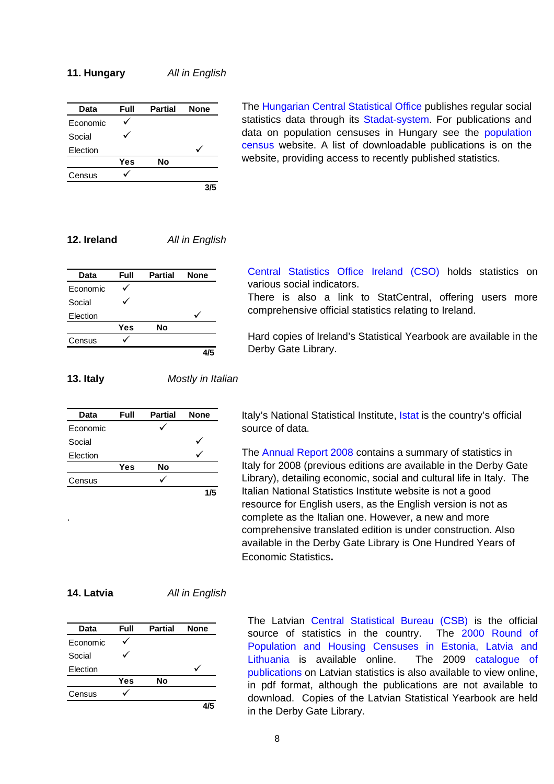### **11. Hungary** *All in English*

| Data     | Full | <b>Partial</b> | <b>None</b> |
|----------|------|----------------|-------------|
| Economic |      |                |             |
| Social   |      |                |             |
| Election |      |                |             |
|          | Yes  | No             |             |
| Census   |      |                |             |
|          |      |                | 3/5         |

The [Hungarian Central Statistical Office](http://portal.ksh.hu/portal/page?_pageid=38,119919&_dad=portal&_schema=PORTAL) publishes regular social statistics data through its [Stadat-system.](http://portal.ksh.hu/portal/page?_pageid=38,119941&_dad=portal&_schema=PORTAL) For publications and data on [population](http://www.nepszamlalas.hu/) censuses in Hungary see the population [census](http://www.nepszamlalas.hu/) website. A list of downloadable publications is on the website, providing access to recently published statistics.

# **12. Ireland** *All in English*

| Data     | Full | <b>Partial</b> | <b>None</b> |
|----------|------|----------------|-------------|
| Economic |      |                |             |
| Social   |      |                |             |
| Election |      |                |             |
|          | Yes  | No             |             |
| Census   |      |                |             |
|          |      |                |             |

[Central Statistics Office Ireland \(CSO\)](http://www.cso.ie/) holds statistics on various social indicators.

There is also a link to StatCentral, offering users more comprehensive official statistics relating to Ireland.

Hard copies of Ireland's Statistical Yearbook are available in the Derby Gate Library.

**13. Italy** *Mostly in Italian* 

| Data     | Full | <b>Partial</b> | <b>None</b> |
|----------|------|----------------|-------------|
| Economic |      |                |             |
| Social   |      |                |             |
| Election |      |                |             |
|          | Yes  | No             |             |
| Census   |      |                |             |
|          |      |                | 1/5         |

Italy's National Statistical Institute, *Istat* is the country's official source of data.

The [Annual Report 2008](http://www.istat.it/english/annualreport2008) contains a summary of statistics in Italy for 2008 (previous editions are available in the Derby Gate Library), detailing economic, social and cultural life in Italy. The Italian National Statistics Institute website is not a good resource for English users, as the English version is not as complete as the Italian one. However, a new and more comprehensive translated edition is under construction. Also available in the Derby Gate Library is One Hundred Years of Economic Statistics**.**

.

**14. Latvia** *All in English* 

| Data     | Full | <b>Partial</b> | <b>None</b> |
|----------|------|----------------|-------------|
| Economic |      |                |             |
| Social   |      |                |             |
| Election |      |                |             |
|          | Yes  | Nο             |             |
| Census   |      |                |             |
|          |      |                |             |

The Latvian [Central Statistical Bureau \(CSB\)](http://www.csb.gov.lv/?lng=en) is the official source of statistics in the country. The [2000 Round of](http://www.csb.gov.lv/csp/content/?cat=5206)  [Population and Housing Censuses in Estonia, Latvia and](http://www.csb.gov.lv/csp/content/?cat=5206)  [Lithuania](http://www.csb.gov.lv/csp/content/?cat=5206) is available online. The 2009 [catalogue of](http://www.csb.gov.lv/images/modules/items/item_file_9032_katalogs2009_en.pdf)  [publications](http://www.csb.gov.lv/images/modules/items/item_file_9032_katalogs2009_en.pdf) on Latvian statistics is also available to view online, in pdf format, although the publications are not available to download. Copies of the Latvian Statistical Yearbook are held in the Derby Gate Library.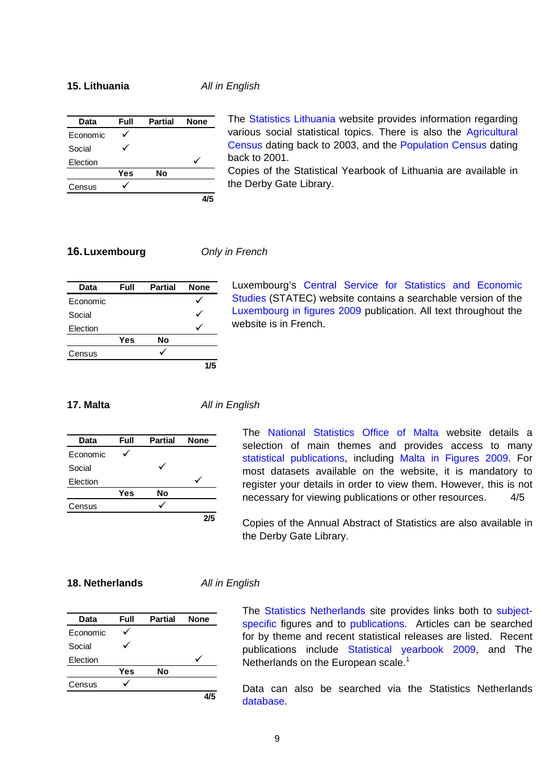### **15. Lithuania** *All in English*

| Data     | Full | <b>Partial</b> | <b>None</b> |
|----------|------|----------------|-------------|
| Economic |      |                |             |
| Social   |      |                |             |
| Election |      |                |             |
|          | Yes  | No             |             |
| Census   |      |                |             |
|          |      |                |             |

The [Statistics Lithuania](http://www.stat.gov.lt/en/?PHPSESSID=1b43c94febe03a0b5ec1bec7129f9342) website provides information regarding various social statistical topics. There is also the [Agricultural](http://www.stat.gov.lt/en/pages/view/?id=1504)  [Census](http://www.stat.gov.lt/en/pages/view/?id=1504) dating back to 2003, and the [Population Census](http://www.stat.gov.lt/en/pages/view/?id=1503) dating back to 2001.

Copies of the Statistical Yearbook of Lithuania are available in the Derby Gate Library.

### **16.Luxembourg** *Only in French*

| Data     | Full | <b>Partial</b> | <b>None</b> |
|----------|------|----------------|-------------|
| Economic |      |                |             |
| Social   |      |                |             |
| Election |      |                |             |
|          | Yes  | No             |             |
| Census   |      |                |             |
|          |      |                | 1/5         |

Luxembourg's [Central Service for Statistics and Economic](http://www.statec.public.lu/fr/statec/index.html)  [Studies](http://www.statec.public.lu/fr/statec/index.html) (STATEC) website contains a searchable version of the [Luxembourg in figures 2009](http://www.statistiques.public.lu/fr/publications/horizontales/luxChiffresFR/index.html) publication. All text throughout the website is in French.

### **17. Malta** *All in English*

| Data     | Full | <b>Partial</b> | <b>None</b> |
|----------|------|----------------|-------------|
| Economic |      |                |             |
| Social   |      |                |             |
| Election |      |                |             |
|          | Yes  | No             |             |
| Census   |      |                |             |
|          |      |                | 215         |

The [National Statistics Office of Malta](http://www.nso.gov.mt/) website details a selection of main themes and provides access to many [statistical publications](http://www.nso.gov.mt/statdoc/publication_catalogue.aspx), including [Malta in Figures 2009.](http://www.nso.gov.mt/statdoc/document_view.aspx?id=2507&backUrl=publication_catalogue.aspx) For most datasets available on the website, it is mandatory to register your details in order to view them. However, this is not necessary for viewing publications or other resources. 4/5

Copies of the Annual Abstract of Statistics are also available in the Derby Gate Library.

### **18. Netherlands** *All in English*

| Data     | Full       | <b>Partial</b> | <b>None</b> |
|----------|------------|----------------|-------------|
| Economic |            |                |             |
| Social   |            |                |             |
| Election |            |                |             |
|          | <b>Yes</b> | No             |             |
| Census   |            |                |             |
|          |            |                |             |

The [Statistics Netherlands](http://www.cbs.nl/en/) site provides links both to [subject](http://www.cbs.nl/en-GB/menu/cijfers/cijfers-per-thema/default.htm)[specific](http://www.cbs.nl/en-GB/menu/cijfers/cijfers-per-thema/default.htm) figures and to [publications](http://www.cbs.nl/en-GB/menu/publicaties/default.htm). Articles can be searched for by theme and recent statistical releases are listed. Recent publications include [Statistical yearbook 2009](http://www.cbs.nl/en-GB/menu/publicaties/boeken/algemeen/statistisch-jaarboek/archief/2009/2009-statistical-yearboek-pub.htm), and The Netherlands on the European scale.<sup>1</sup>

Data can also be searched via the Statistics Netherlands [database.](http://statline.cbs.nl/StatWeb/start.asp?LA=en&DM=SLEN&lp=Search/Search)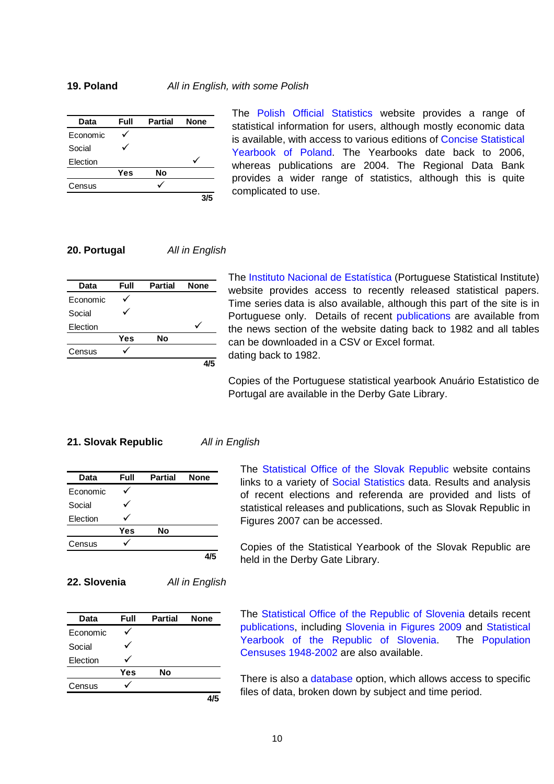| Data     | Full | <b>Partial</b> | <b>None</b> |
|----------|------|----------------|-------------|
| Economic |      |                |             |
| Social   |      |                |             |
| Election |      |                |             |
|          | Yes  | No             |             |
| Census   |      |                |             |
|          |      |                |             |

The [Polish Official Statistics](http://www.stat.gov.pl/english/index.htm) website provides a range of statistical information for users, although mostly economic data is available, with access to various editions of [Concise Statistical](http://www.stat.gov.pl/english/serwis/polska/a2.htm)  [Yearbook of Poland.](http://www.stat.gov.pl/english/serwis/polska/a2.htm) The Yearbooks date back to 2006, whereas publications are 2004. The Regional Data Bank provides a wider range of statistics, although this is quite complicated to use.

### **20. Portugal** *All in English*

| Data     | Full | <b>Partial</b> | <b>None</b> |
|----------|------|----------------|-------------|
| Economic |      |                |             |
| Social   |      |                |             |
| Election |      |                |             |
|          | Yes  | No             |             |
| Census   |      |                |             |
|          |      |                |             |

The [Instituto Nacional de Estatística](http://www.ine.pt/index_eng.htm) (Portuguese Statistical Institute) website provides access to recently released statistical papers. Time series data is also available, although this part of the site is in Portuguese only. Details of recent [publications](http://www.ine.pt/xportal/xmain?xpid=INE&xpgid=ine_publicacoes) are available from the news section of the website dating back to 1982 and all tables can be downloaded in a CSV or Excel format. dating back to 1982.

Copies of the Portuguese statistical yearbook Anuário Estatistico de Portugal are available in the Derby Gate Library.

### **21. Slovak Republic** *All in English*

| Data     | Full | <b>Partial</b> | <b>None</b> |
|----------|------|----------------|-------------|
| Economic |      |                |             |
| Social   |      |                |             |
| Election |      |                |             |
|          | Yes  | No             |             |
| Census   |      |                |             |
|          |      |                |             |

**22. Slovenia** *All in English* 

The [Statistical Office of the Slovak Republic](http://portal.statistics.sk/showdoc.do?docid=359) website contains links to a variety of [Social Statistics](http://portal.statistics.sk/showdoc.do?docid=3024) data. Results and analysis of recent elections and referenda are provided and lists of statistical releases and publications, such as Slovak Republic in Figures 2007 can be accessed.

Copies of the Statistical Yearbook of the Slovak Republic are held in the Derby Gate Library.

# **Data Full Partial None** Economic  $\checkmark$ Social  $\checkmark$ Election  $\checkmark$ **Yes No** Census  $\checkmark$ **4/5**

The [Statistical Office of the Republic of Slovenia](http://www.stat.si/eng/index.asp) details recent [publications](http://www.stat.si/eng/pub.asp), including [Slovenia in Figures 2009](http://www.stat.si/eng/pub_slovenija.asp) and [Statistical](http://www.stat.si/eng/pub_letopis_prva.asp)  [Yearbook of the Republic of Slovenia.](http://www.stat.si/eng/pub_letopis_prva.asp) The [Population](http://www.stat.si/eng/pub_popisne_prva.asp)  [Censuses 1948-2002](http://www.stat.si/eng/pub_popisne_prva.asp) are also available.

There is also a [database](http://bsp1h.gov.si/D2300.kom/komstart.html) option, which allows access to specific files of data, broken down by subject and time period.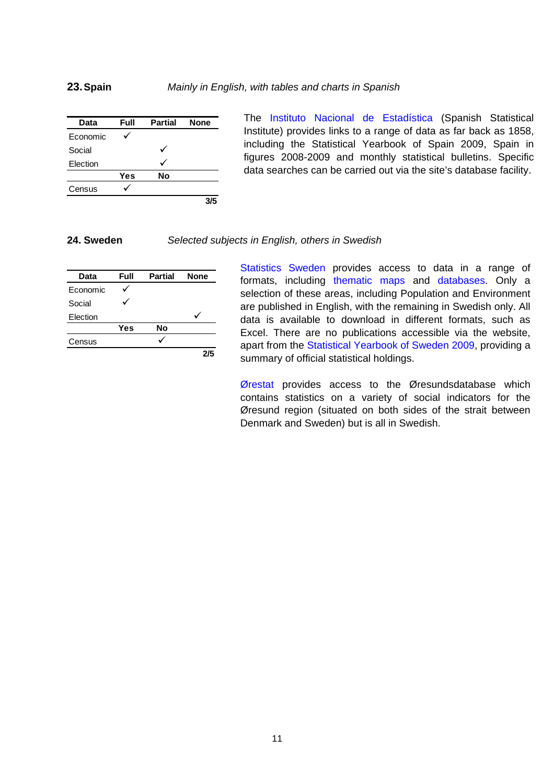### **23.Spain** *Mainly in English, with tables and charts in Spanish*

| Data     | Full | <b>Partial</b> | <b>None</b> |
|----------|------|----------------|-------------|
| Economic |      |                |             |
| Social   |      |                |             |
| Election |      |                |             |
|          | Yes  | Nο             |             |
| Census   |      |                |             |
|          |      |                | 3/5         |

The [Instituto Nacional de Estadística](http://www.ine.es/welcoing.htm) (Spanish Statistical Institute) provides links to a range of data as far back as 1858, including the Statistical Yearbook of Spain 2009, Spain in figures 2008-2009 and monthly statistical bulletins. Specific data searches can be carried out via the site's database facility.

### **24. Sweden** *Selected subjects in English, others in Swedish*

| Data     | Full | <b>Partial</b> | <b>None</b> |
|----------|------|----------------|-------------|
| Economic |      |                |             |
| Social   |      |                |             |
| Election |      |                |             |
|          | Yes  | No             |             |
| Census   |      |                |             |
|          |      |                | 2/5         |

[Statistics Sweden](http://www.scb.se/default____2154.aspx) provides access to data in a range of formats, including [thematic maps](http://www.h.scb.se/scb/bor/scbboju/bj_htm_en/index.asp) and [databases.](http://www.ssd.scb.se/databaser/makro/start.asp?lang=2) Only a selection of these areas, including Population and Environment are published in English, with the remaining in Swedish only. All data is available to download in different formats, such as Excel. There are no publications accessible via the website, apart from the [Statistical Yearbook of Sweden 2009,](http://www.scb.se/Pages/Product____30937.aspx) providing a summary of official statistical holdings.

[Ørestat](http://www.orestat.scb.se/) provides access to the Øresundsdatabase which contains statistics on a variety of social indicators for the Øresund region (situated on both sides of the strait between Denmark and Sweden) but is all in Swedish.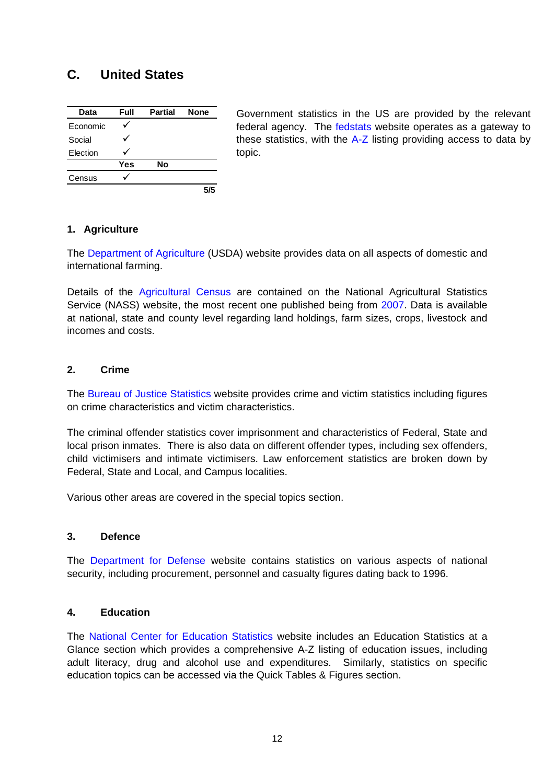# **C. United States**

| Data     | Full | <b>Partial</b> | <b>None</b> |
|----------|------|----------------|-------------|
| Economic |      |                |             |
| Social   |      |                |             |
| Election |      |                |             |
|          | Yes  | No             |             |
| Census   |      |                |             |
|          |      |                | 5/5         |

Government statistics in the US are provided by the relevant federal agency. The [fedstats](http://www.fedstats.gov/) website operates as a gateway to these statistics, with the [A-Z](http://www.fedstats.gov/cgi-bin/A2Z.cgi) listing providing access to data by topic.

# **1. Agriculture**

The [Department of Agriculture](http://www.ers.usda.gov/Data/) (USDA) website provides data on all aspects of domestic and international farming.

Details of the [Agricultural Census](http://www.agcensus.usda.gov/) are contained on the National Agricultural Statistics Service (NASS) website, the most recent one published being from [2007](http://www.agcensus.usda.gov/Publications/2007/index.asp). Data is available at national, state and county level regarding land holdings, farm sizes, crops, livestock and incomes and costs.

# **2. Crime**

The [Bureau of Justice Statistics](http://www.ojp.usdoj.gov/bjs/welcome.htm) website provides crime and victim statistics including figures on crime characteristics and victim characteristics.

The criminal offender statistics cover imprisonment and characteristics of Federal, State and local prison inmates. There is also data on different offender types, including sex offenders, child victimisers and intimate victimisers. Law enforcement statistics are broken down by Federal, State and Local, and Campus localities.

Various other areas are covered in the special topics section.

# **3. Defence**

The [Department for Defense](http://siadapp.dmdc.osd.mil/) website contains statistics on various aspects of national security, including procurement, personnel and casualty figures dating back to 1996.

# **4. Education**

The [National Center for Education Statistics](http://nces.ed.gov/) website includes an Education Statistics at a Glance section which provides a comprehensive A-Z listing of education issues, including adult literacy, drug and alcohol use and expenditures. Similarly, statistics on specific education topics can be accessed via the Quick Tables & Figures section.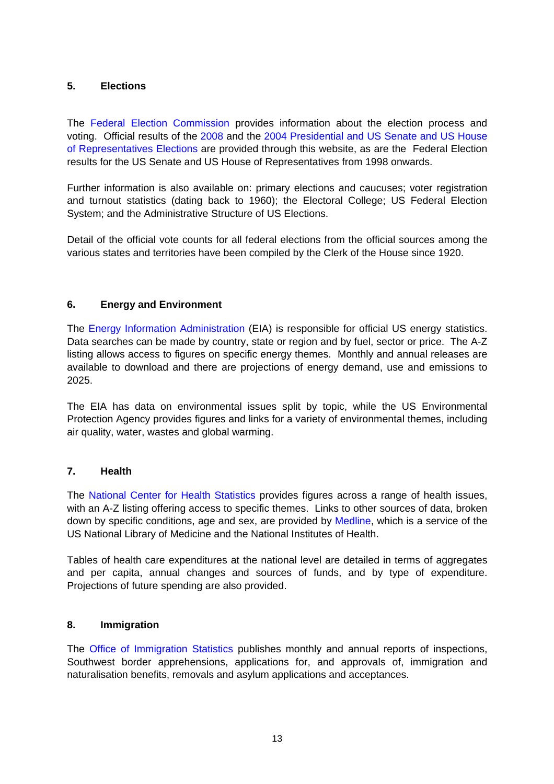# **5. Elections**

The [Federal Election Commission](http://www.fec.gov/elections.html) provides information about the election process and voting. Official results of the [2008](http://www.fec.gov/pubrec/fe2008/federalelections2008.shtml) and the [2004 Presidential and US Senate and US House](http://www.fec.gov/pubrec/fe2004/federalelections2004.shtml)  [of Representatives Elections](http://www.fec.gov/pubrec/fe2004/federalelections2004.shtml) are provided through this website, as are the Federal Election results for the US Senate and US House of Representatives from 1998 onwards.

Further information is also available on: primary elections and caucuses; voter registration and turnout statistics (dating back to 1960); the Electoral College; US Federal Election System; and the Administrative Structure of US Elections.

Detail of the official vote counts for all federal elections from the official sources among the various states and territories have been compiled by the Clerk of the House since 1920.

# **6. Energy and Environment**

The [Energy Information Administration](http://www.eia.doe.gov/) (EIA) is responsible for official US energy statistics. Data searches can be made by country, state or region and by fuel, sector or price. The A-Z listing allows access to figures on specific energy themes. Monthly and annual releases are available to download and there are projections of energy demand, use and emissions to 2025.

The EIA has data on environmental issues split by topic, while the US Environmental Protection Agency provides figures and links for a variety of environmental themes, including air quality, water, wastes and global warming.

# **7. Health**

The [National Center for Health Statistics](http://www.cdc.gov/nchs/Default.htm) provides figures across a range of health issues, with an A-Z listing offering access to specific themes. Links to other sources of data, broken down by specific conditions, age and sex, are provided by [Medline](http://medlineplus.nlm.nih.gov/medlineplus/healthstatistics.html), which is a service of the US National Library of Medicine and the National Institutes of Health.

Tables of health care expenditures at the national level are detailed in terms of aggregates and per capita, annual changes and sources of funds, and by type of expenditure. Projections of future spending are also provided.

# **8. Immigration**

The [Office of Immigration Statistics](http://uscis.gov/graphics/shared/aboutus/statistics/publist.htm) publishes monthly and annual reports of inspections, Southwest border apprehensions, applications for, and approvals of, immigration and naturalisation benefits, removals and asylum applications and acceptances.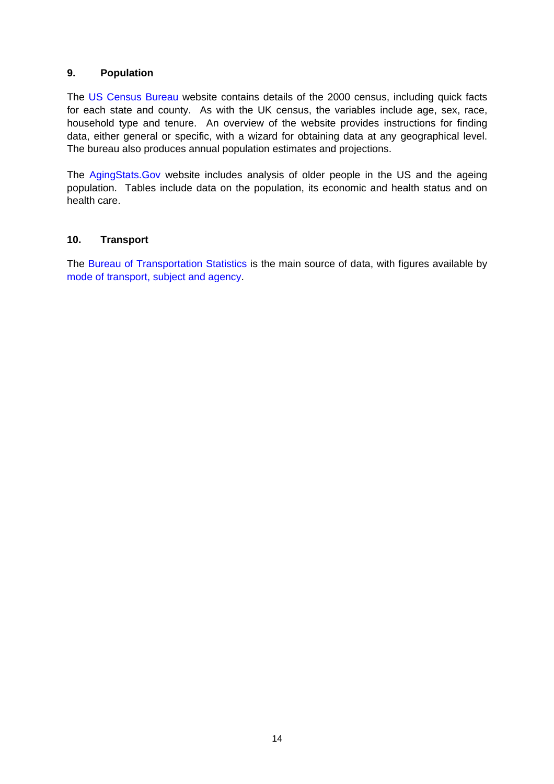# **9. Population**

The [US Census Bureau](http://www.census.gov/main/www/cen2000.html) website contains details of the 2000 census, including quick facts for each state and county. As with the UK census, the variables include age, sex, race, household type and tenure. An overview of the website provides instructions for finding data, either general or specific, with a wizard for obtaining data at any geographical level. The bureau also produces annual population estimates and projections.

The [AgingStats.Gov](http://www.agingstats.gov/) website includes analysis of older people in the US and the ageing population. Tables include data on the population, its economic and health status and on health care.

# **10. Transport**

The [Bureau of Transportation Statistics](http://www.bts.gov/) is the main source of data, with figures available by [mode of transport, subject and agency](http://www.transtats.bts.gov/).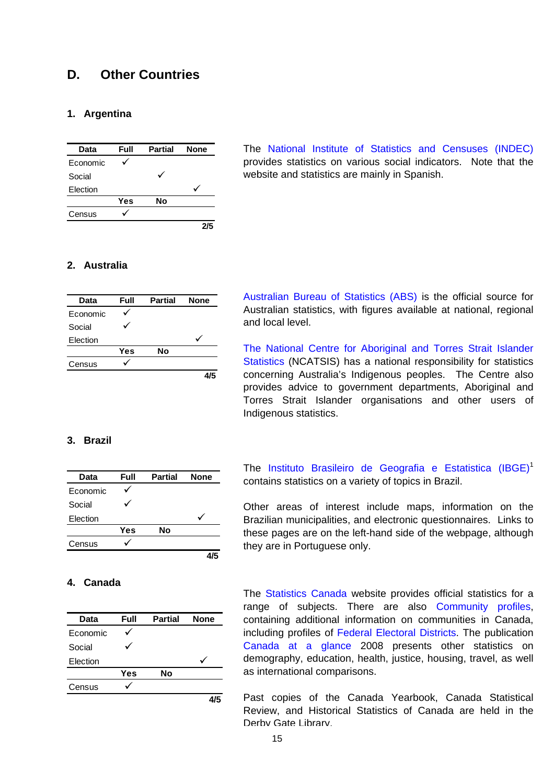# **D. Other Countries**

# **1. Argentina**

| Data     | Full | <b>Partial</b> | <b>None</b> |
|----------|------|----------------|-------------|
| Economic |      |                |             |
| Social   |      |                |             |
| Election |      |                |             |
|          | Yes  | No             |             |
| Census   |      |                |             |
|          |      |                |             |

The [National Institute of Statistics and Censuses \(INDEC\)](http://www.indec.gov.ar/indec/ingles.asp) provides statistics on various social indicators. Note that the website and statistics are mainly in Spanish.

### **2. Australia**

| Data     | Full | <b>Partial</b> | <b>None</b> |
|----------|------|----------------|-------------|
| Economic |      |                |             |
| Social   |      |                |             |
| Election |      |                |             |
|          | Yes  | No             |             |
| Census   |      |                |             |
|          |      |                |             |

[Australian Bureau of Statistics \(ABS\)](http://www.abs.gov.au/) is the official source for Australian statistics, with figures available at national, regional and local level.

[The National Centre for Aboriginal and Torres Strait Islander](http://www.abs.gov.au/Websitedbs/c311215.nsf/20564c23f3183fdaca25672100813ef1/0179c2b24398e077ca2570a8000945d2!OpenDocument)  [Statistics](http://www.abs.gov.au/Websitedbs/c311215.nsf/20564c23f3183fdaca25672100813ef1/0179c2b24398e077ca2570a8000945d2!OpenDocument) (NCATSIS) has a national responsibility for statistics concerning Australia's Indigenous peoples. The Centre also provides advice to government departments, Aboriginal and Torres Strait Islander organisations and other users of Indigenous statistics.

# **3. Brazil**

| Data     | Full | <b>Partial</b> | <b>None</b> |
|----------|------|----------------|-------------|
| Economic |      |                |             |
| Social   |      |                |             |
| Election |      |                |             |
|          | Yes  | No             |             |
| Census   |      |                |             |
|          |      |                |             |

### **4. Canada**

| Data     | Full | <b>Partial</b> | <b>None</b> |  |
|----------|------|----------------|-------------|--|
| Economic |      |                |             |  |
| Social   |      |                |             |  |
| Election |      |                |             |  |
|          | Yes  | No             |             |  |
| Census   |      |                |             |  |
|          |      |                |             |  |

The [Instituto Brasileiro de Geografia e Estatistica \(IBGE\)](http://www.ibge.gov.br/english/default.php)<sup>1</sup> contains statistics on a variety of topics in Brazil.

Other areas of interest include maps, information on the Brazilian municipalities, and electronic questionnaires. Links to these pages are on the left-hand side of the webpage, although they are in Portuguese only.

The [Statistics Canada](http://www.statcan.gc.ca/start-debut-eng.html) website provides official statistics for a range of subjects. There are also [Community profiles,](http://www12.statcan.ca/english/Profil01/PlaceSearchForm1.cfm) containing additional information on communities in Canada, including profiles of [Federal Electoral Districts.](http://www12.statcan.ca/english/census01/products/standard/fedprofile/SelectFED.cfm?R=FED03) The publication [Canada at a glance](http://www45.statcan.gc.ca/2008/cgco_2008_000-eng.htm) 2008 presents other statistics on demography, education, health, justice, housing, travel, as well as international comparisons.

Past copies of the Canada Yearbook, Canada Statistical Review, and Historical Statistics of Canada are held in the Derby Gate Library.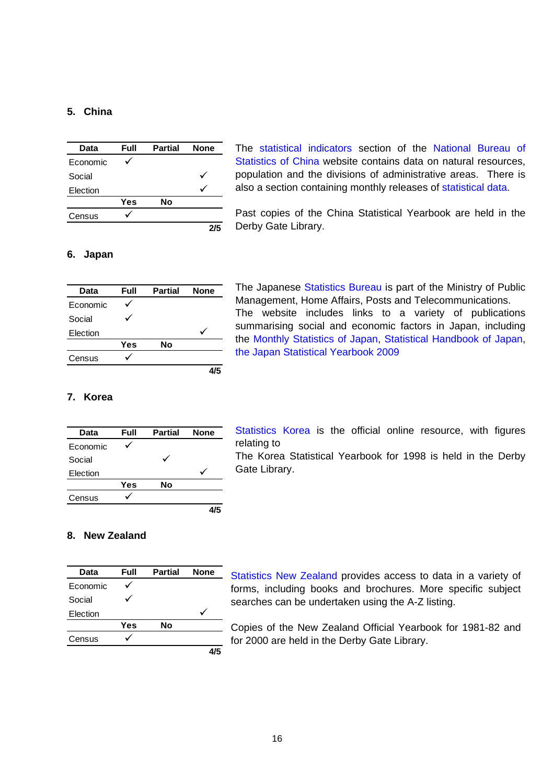# **5. China**

| Data     | Full | <b>Partial</b> | <b>None</b> |
|----------|------|----------------|-------------|
| Economic |      |                |             |
| Social   |      |                |             |
| Election |      |                |             |
|          | Yes  | No             |             |
| Census   |      |                |             |
|          |      |                |             |

The [statistical indicators](http://www.stats.gov.cn/english/indicators/index.htm) section of the [National Bureau of](http://www.stats.gov.cn/english/index.htm)  [Statistics of China](http://www.stats.gov.cn/english/index.htm) website contains data on natural resources. population and the divisions of administrative areas. There is also a section containing monthly releases of [statistical data.](http://www.stats.gov.cn/english/statisticaldata/index.htm)

Past copies of the China Statistical Yearbook are held in the Derby Gate Library.

### **6. Japan**

| Data     | Full | <b>Partial</b> | <b>None</b> |
|----------|------|----------------|-------------|
| Economic |      |                |             |
| Social   |      |                |             |
| Election |      |                |             |
|          | Yes  | Nο             |             |
| Census   |      |                |             |
|          |      |                |             |

The Japanese [Statistics Bureau](http://www.stat.go.jp/english/index.htm) is part of the Ministry of Public Management, Home Affairs, Posts and Telecommunications. The website includes links to a variety of publications summarising social and economic factors in Japan, including the [Monthly Statistics of Japan,](http://www.stat.go.jp/english/data/getujidb/index.htm) [Statistical Handbook of Japan](http://www.stat.go.jp/english/data/handbook/index.htm), [the Japan Statistical Yearbook 2009](http://www.stat.go.jp/english/data/nenkan/index.htm)

# **7. Korea**

| <b>Data</b> | Full | <b>Partial</b> | <b>None</b> |
|-------------|------|----------------|-------------|
| Economic    |      |                |             |
| Social      |      |                |             |
| Election    |      |                |             |
|             | Yes  | No             |             |
| Census      |      |                |             |
|             |      |                |             |

[Statistics Korea](http://kostat.go.kr/eng) is the official online resource, with figures relating to

The Korea Statistical Yearbook for 1998 is held in the Derby Gate Library.

### **8. New Zealand**

| Data     | Full | <b>Partial</b> | <b>None</b> |
|----------|------|----------------|-------------|
| Economic |      |                |             |
| Social   |      |                |             |
| Election |      |                |             |
|          | Yes  | No             |             |
| Census   |      |                |             |
|          |      |                |             |

[Statistics New Zealand](http://www.stats.govt.nz/) provides access to data in a variety of forms, including books and brochures. More specific subject searches can be undertaken using the A-Z listing.

Copies of the New Zealand Official Yearbook for 1981-82 and for 2000 are held in the Derby Gate Library.